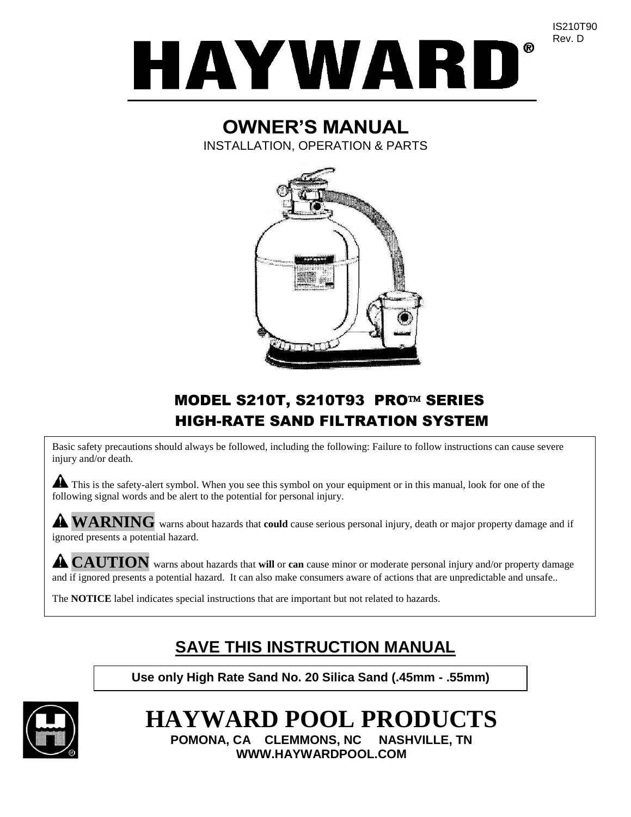

# **OWNER'S MANUAL**

INSTALLATION, OPERATION & PARTS



## MODEL S210T, S210T93 PRO™ SERIES HIGH-RATE SAND FILTRATION SYSTEM

Basic safety precautions should always be followed, including the following: Failure to follow instructions can cause severe injury and/or death.

This is the safety-alert symbol. When you see this symbol on your equipment or in this manual, look for one of the following signal words and be alert to the potential for personal injury.

**WARNING** warns about hazards that **could** cause serious personal injury, death or major property damage and if ignored presents a potential hazard.

**CAUTION** warns about hazards that **will** or **can** cause minor or moderate personal injury and/or property damage and if ignored presents a potential hazard. It can also make consumers aware of actions that are unpredictable and unsafe..

The **NOTICE** label indicates special instructions that are important but not related to hazards.

# **SAVE THIS INSTRUCTION MANUAL**

**Use only High Rate Sand No. 20 Silica Sand (.45mm - .55mm)**



# **HAYWARD POOL PRODUCTS**

**POMONA, CA CLEMMONS, NC NASHVILLE, TN WWW.HAYWARDPOOL.COM**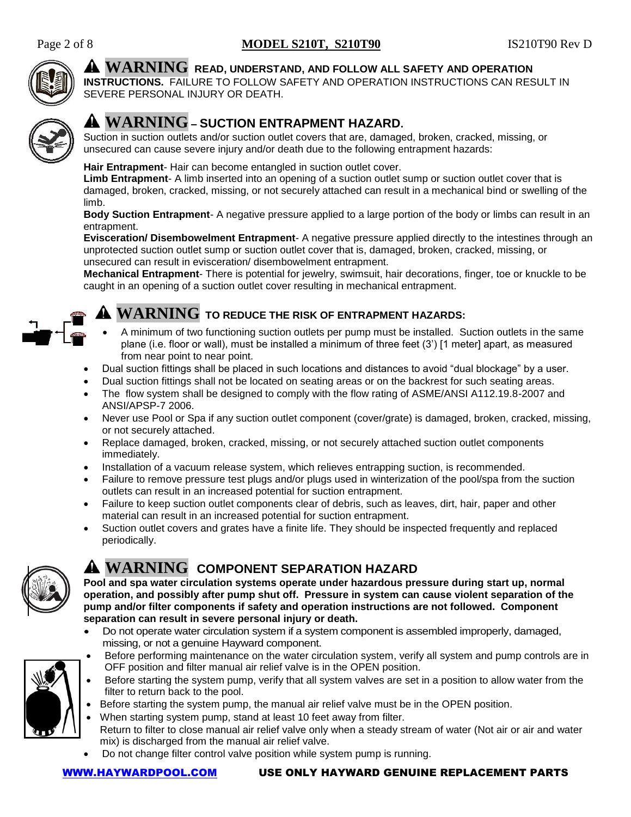

## **WARNING READ, UNDERSTAND, AND FOLLOW ALL SAFETY AND OPERATION**

**INSTRUCTIONS.** FAILURE TO FOLLOW SAFETY AND OPERATION INSTRUCTIONS CAN RESULT IN SEVERE PERSONAL INJURY OR DEATH.



## **WARNING – SUCTION ENTRAPMENT HAZARD.**

Suction in suction outlets and/or suction outlet covers that are, damaged, broken, cracked, missing, or unsecured can cause severe injury and/or death due to the following entrapment hazards:

## **Hair Entrapment**- Hair can become entangled in suction outlet cover.

**Limb Entrapment**- A limb inserted into an opening of a suction outlet sump or suction outlet cover that is damaged, broken, cracked, missing, or not securely attached can result in a mechanical bind or swelling of the limb.

**Body Suction Entrapment**- A negative pressure applied to a large portion of the body or limbs can result in an entrapment.

**Evisceration/ Disembowelment Entrapment**- A negative pressure applied directly to the intestines through an unprotected suction outlet sump or suction outlet cover that is, damaged, broken, cracked, missing, or unsecured can result in evisceration/ disembowelment entrapment.

**Mechanical Entrapment**- There is potential for jewelry, swimsuit, hair decorations, finger, toe or knuckle to be caught in an opening of a suction outlet cover resulting in mechanical entrapment.



## **WARNING TO REDUCE THE RISK OF ENTRAPMENT HAZARDS:**

- A minimum of two functioning suction outlets per pump must be installed. Suction outlets in the same plane (i.e. floor or wall), must be installed a minimum of three feet (3') [1 meter] apart, as measured from near point to near point.
- Dual suction fittings shall be placed in such locations and distances to avoid "dual blockage" by a user.
- Dual suction fittings shall not be located on seating areas or on the backrest for such seating areas.
- The flow system shall be designed to comply with the flow rating of ASME/ANSI A112.19.8-2007 and ANSI/APSP-7 2006.
- Never use Pool or Spa if any suction outlet component (cover/grate) is damaged, broken, cracked, missing, or not securely attached.
- Replace damaged, broken, cracked, missing, or not securely attached suction outlet components immediately.
- Installation of a vacuum release system, which relieves entrapping suction, is recommended.
- Failure to remove pressure test plugs and/or plugs used in winterization of the pool/spa from the suction outlets can result in an increased potential for suction entrapment.
- Failure to keep suction outlet components clear of debris, such as leaves, dirt, hair, paper and other material can result in an increased potential for suction entrapment.
- Suction outlet covers and grates have a finite life. They should be inspected frequently and replaced periodically.



## **WARNING COMPONENT SEPARATION HAZARD**

**Pool and spa water circulation systems operate under hazardous pressure during start up, normal operation, and possibly after pump shut off. Pressure in system can cause violent separation of the pump and/or filter components if safety and operation instructions are not followed. Component separation can result in severe personal injury or death.**

 Do not operate water circulation system if a system component is assembled improperly, damaged, missing, or not a genuine Hayward component. Before performing maintenance on the water circulation system, verify all system and pump controls are in



- OFF position and filter manual air relief valve is in the OPEN position. Before starting the system pump, verify that all system valves are set in a position to allow water from the filter to return back to the pool.
- Before starting the system pump, the manual air relief valve must be in the OPEN position.
- When starting system pump, stand at least 10 feet away from filter.
- Return to filter to close manual air relief valve only when a steady stream of water (Not air or air and water mix) is discharged from the manual air relief valve.
- Do not change filter control valve position while system pump is running.

## [WWW.HAYWARDPOOL.COM](http://www.haywardpool.com/) USE ONLY HAYWARD GENUINE REPLACEMENT PARTS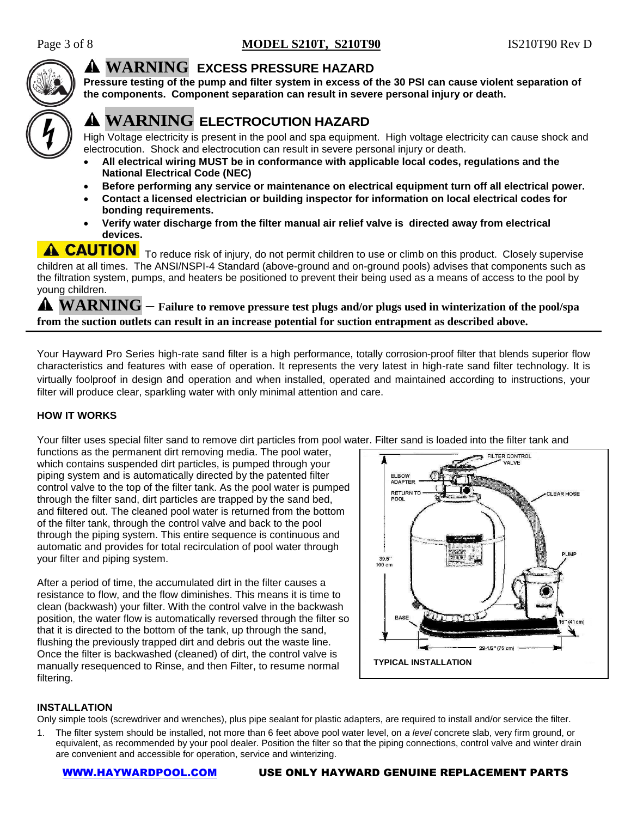

## **WARNING EXCESS PRESSURE HAZARD**

**Pressure testing of the pump and filter system in excess of the 30 PSI can cause violent separation of the components. Component separation can result in severe personal injury or death.** 

## **WARNING ELECTROCUTION HAZARD**

High Voltage electricity is present in the pool and spa equipment. High voltage electricity can cause shock and electrocution. Shock and electrocution can result in severe personal injury or death.

- **All electrical wiring MUST be in conformance with applicable local codes, regulations and the National Electrical Code (NEC)**
- **Before performing any service or maintenance on electrical equipment turn off all electrical power.**
- **Contact a licensed electrician or building inspector for information on local electrical codes for bonding requirements.**
- **Verify water discharge from the filter manual air relief valve is directed away from electrical devices.**

**A CAUTION** To reduce risk of injury, do not permit children to use or climb on this product. Closely supervise children at all times. The ANSI/NSPI-4 Standard (above-ground and on-ground pools) advises that components such as the filtration system, pumps, and heaters be positioned to prevent their being used as a means of access to the pool by young children.

**WARNING – Failure to remove pressure test plugs and/or plugs used in winterization of the pool/spa from the suction outlets can result in an increase potential for suction entrapment as described above.**

Your Hayward Pro Series high-rate sand filter is a high performance, totally corrosion-proof filter that blends superior flow characteristics and features with ease of operation. It represents the very latest in high-rate sand filter technology. It is virtually foolproof in design and operation and when installed, operated and maintained according to instructions, your filter will produce clear, sparkling water with only minimal attention and care.

## **HOW IT WORKS**

Your filter uses special filter sand to remove dirt particles from pool water. Filter sand is loaded into the filter tank and

functions as the permanent dirt removing media. The pool water, which contains suspended dirt particles, is pumped through your piping system and is automatically directed by the patented filter control valve to the top of the filter tank. As the pool water is pumped through the filter sand, dirt particles are trapped by the sand bed, and filtered out. The cleaned pool water is returned from the bottom of the filter tank, through the control valve and back to the pool through the piping system. This entire sequence is continuous and automatic and provides for total recirculation of pool water through your filter and piping system.

After a period of time, the accumulated dirt in the filter causes a resistance to flow, and the flow diminishes. This means it is time to clean (backwash) your filter. With the control valve in the backwash position, the water flow is automatically reversed through the filter so that it is directed to the bottom of the tank, up through the sand, flushing the previously trapped dirt and debris out the waste line. Once the filter is backwashed (cleaned) of dirt, the control valve is manually resequenced to Rinse, and then Filter, to resume normal filtering.



## **INSTALLATION**

Only simple tools (screwdriver and wrenches), plus pipe sealant for plastic adapters, are required to install and/or service the filter.

1. The filter system should be installed, not more than 6 feet above pool water level, on *a level* concrete slab, very firm ground, or equivalent, as recommended by your pool dealer. Position the filter so that the piping connections, control valve and winter drain are convenient and accessible for operation, service and winterizing.

#### [WWW.HAYWARDPOOL.COM](http://www.haywardpool.com/) USE ONLY HAYWARD GENUINE REPLACEMENT PARTS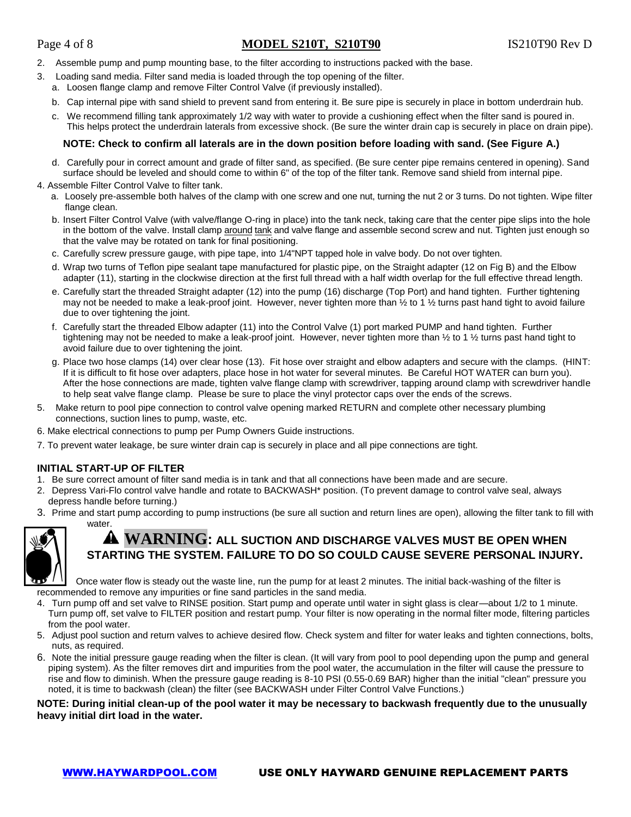## Page 4 of 8 **MODEL S210T, S210T90** IS210T90 Rev D

- 2. Assemble pump and pump mounting base, to the filter according to instructions packed with the base.
- 3. Loading sand media. Filter sand media is loaded through the top opening of the filter.
	- a. Loosen flange clamp and remove Filter Control Valve (if previously installed).
	- b. Cap internal pipe with sand shield to prevent sand from entering it. Be sure pipe is securely in place in bottom underdrain hub.
	- c. We recommend filling tank approximately 1/2 way with water to provide a cushioning effect when the filter sand is poured in. This helps protect the underdrain laterals from excessive shock. (Be sure the winter drain cap is securely in place on drain pipe).

#### **NOTE: Check to confirm all laterals are in the down position before loading with sand. (See Figure A.)**

- d. Carefully pour in correct amount and grade of filter sand, as specified. (Be sure center pipe remains centered in opening). Sand surface should be leveled and should come to within 6" of the top of the filter tank. Remove sand shield from internal pipe.
- 4. Assemble Filter Control Valve to filter tank.
	- a. Loosely pre-assemble both halves of the clamp with one screw and one nut, turning the nut 2 or 3 turns. Do not tighten. Wipe filter flange clean.
	- b. Insert Filter Control Valve (with valve/flange O-ring in place) into the tank neck, taking care that the center pipe slips into the hole in the bottom of the valve. Install clamp around tank and valve flange and assemble second screw and nut. Tighten just enough so that the valve may be rotated on tank for final positioning.
	- c. Carefully screw pressure gauge, with pipe tape, into 1/4"NPT tapped hole in valve body. Do not over tighten.
	- d. Wrap two turns of Teflon pipe sealant tape manufactured for plastic pipe, on the Straight adapter (12 on Fig B) and the Elbow adapter (11), starting in the clockwise direction at the first full thread with a half width overlap for the full effective thread length.
	- e. Carefully start the threaded Straight adapter (12) into the pump (16) discharge (Top Port) and hand tighten. Further tightening may not be needed to make a leak-proof joint. However, never tighten more than  $\frac{1}{2}$  to 1  $\frac{1}{2}$  turns past hand tight to avoid failure due to over tightening the joint.
	- f. Carefully start the threaded Elbow adapter (11) into the Control Valve (1) port marked PUMP and hand tighten. Further tightening may not be needed to make a leak-proof joint. However, never tighten more than  $\frac{1}{2}$  to 1  $\frac{1}{2}$  turns past hand tight to avoid failure due to over tightening the joint.
	- g. Place two hose clamps (14) over clear hose (13). Fit hose over straight and elbow adapters and secure with the clamps. (HINT: If it is difficult to fit hose over adapters, place hose in hot water for several minutes. Be Careful HOT WATER can burn you). After the hose connections are made, tighten valve flange clamp with screwdriver, tapping around clamp with screwdriver handle to help seat valve flange clamp. Please be sure to place the vinyl protector caps over the ends of the screws.
- Make return to pool pipe connection to control valve opening marked RETURN and complete other necessary plumbing connections, suction lines to pump, waste, etc.
- 6. Make electrical connections to pump per Pump Owners Guide instructions.
- 7. To prevent water leakage, be sure winter drain cap is securely in place and all pipe connections are tight.

## **INITIAL START-UP OF FILTER**

- 1. Be sure correct amount of filter sand media is in tank and that all connections have been made and are secure.
- 2. Depress Vari-Flo control valve handle and rotate to BACKWASH\* position. (To prevent damage to control valve seal, always depress handle before turning.)
- 3. Prime and start pump according to pump instructions (be sure all suction and return lines are open), allowing the filter tank to fill with water.



## **WARNING: ALL SUCTION AND DISCHARGE VALVES MUST BE OPEN WHEN STARTING THE SYSTEM. FAILURE TO DO SO COULD CAUSE SEVERE PERSONAL INJURY.**

Once water flow is steady out the waste line, run the pump for at least 2 minutes. The initial back-washing of the filter is recommended to remove any impurities or fine sand particles in the sand media.

- 4. Turn pump off and set valve to RINSE position. Start pump and operate until water in sight glass is clear—about 1/2 to 1 minute. Turn pump off, set valve to FILTER position and restart pump. Your filter is now operating in the normal filter mode, filtering particles from the pool water.
- 5. Adjust pool suction and return valves to achieve desired flow. Check system and filter for water leaks and tighten connections, bolts, nuts, as required.
- 6. Note the initial pressure gauge reading when the filter is clean. (It will vary from pool to pool depending upon the pump and general piping system). As the filter removes dirt and impurities from the pool water, the accumulation in the filter will cause the pressure to rise and flow to diminish. When the pressure gauge reading is 8-10 PSI (0.55-0.69 BAR) higher than the initial "clean" pressure you noted, it is time to backwash (clean) the filter (see BACKWASH under Filter Control Valve Functions.)

**NOTE: During initial clean-up of the pool water it may be necessary to backwash frequently due to the unusually heavy initial dirt load in the water.**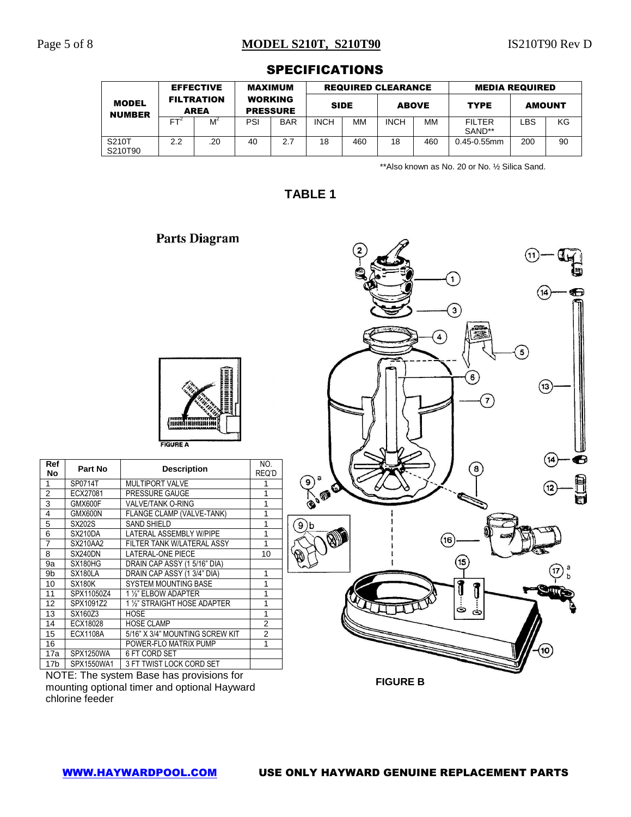## Page 5 of 8 **MODEL S210T, S210T90** IS210T90 Rev D

O

|                               |                  |                                  |                |                                   | ________________________  |             |             |              |                         |               |    |
|-------------------------------|------------------|----------------------------------|----------------|-----------------------------------|---------------------------|-------------|-------------|--------------|-------------------------|---------------|----|
|                               | <b>EFFECTIVE</b> |                                  | <b>MAXIMUM</b> |                                   | <b>REQUIRED CLEARANCE</b> |             |             |              | <b>MEDIA REQUIRED</b>   |               |    |
| <b>MODEL</b><br><b>NUMBER</b> |                  | <b>FILTRATION</b><br><b>AREA</b> |                | <b>WORKING</b><br><b>PRESSURE</b> |                           | <b>SIDE</b> |             | <b>ABOVE</b> | <b>TYPE</b>             | <b>AMOUNT</b> |    |
|                               | FT <sup>2</sup>  | M                                | PSI            | <b>BAR</b>                        | <b>INCH</b>               | MМ          | <b>INCH</b> | МM           | <b>FILTER</b><br>SAND** | LBS           | ΚG |
| S210T<br>S210T90              | 2.2              | .20                              | 40             | 2.7                               | 18                        | 460         | 18          | 460          | $0.45 - 0.55$ mm        | 200           | 90 |

## **SPECIFICATIONS**

\*\*Also known as No. 20 or No. ½ Silica Sand.

 $\mathbf{1}$ 

**TABLE 1**

|                                           |          | an ya<br><b>FIGURE A</b>   |              |
|-------------------------------------------|----------|----------------------------|--------------|
| Ref<br>No                                 | Part No  | <b>Description</b>         | NO.<br>REQ'I |
|                                           | SP0714T  | <b>MULTIPORT VALVE</b>     | 1            |
|                                           | ECX27081 | PRESSURE GAUGE             | 1            |
|                                           | GMX600F  | <b>VALVE/TANK O-RING</b>   | 1            |
| $\frac{2}{3}$ $\frac{4}{3}$ $\frac{5}{7}$ | GMX600N  | FLANGE CLAMP (VALVE-TANK)  | 1            |
|                                           | SX202S   | <b>SAND SHIELD</b>         | 1            |
|                                           | SX210DA  | LATERAL ASSEMBLY W/PIPE    | 1            |
|                                           | SX210AA2 | FILTER TANK W/LATERAL ASSY | 1            |

**Parts Diagram** 





NOTE: The system Base has provisions for mounting optional timer and optional Hayward chlorine feeder

**FIGURE B**

**Ref**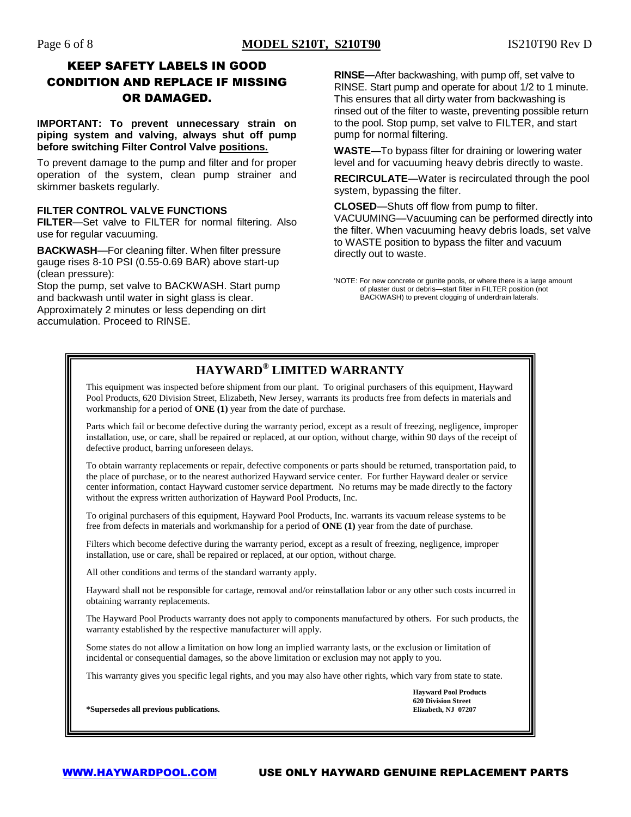## KEEP SAFETY LABELS IN GOOD CONDITION AND REPLACE IF MISSING OR DAMAGED.

**IMPORTANT: To prevent unnecessary strain on piping system and valving, always shut off pump before switching Filter Control Valve positions.**

To prevent damage to the pump and filter and for proper operation of the system, clean pump strainer and skimmer baskets regularly.

### **FILTER CONTROL VALVE FUNCTIONS**

**FILTER**—Set valve to FILTER for normal filtering. Also use for regular vacuuming.

**BACKWASH**—For cleaning filter. When filter pressure gauge rises 8-10 PSI (0.55-0.69 BAR) above start-up (clean pressure):

Stop the pump, set valve to BACKWASH. Start pump and backwash until water in sight glass is clear. Approximately 2 minutes or less depending on dirt accumulation. Proceed to RINSE.

**RINSE—**After backwashing, with pump off, set valve to RINSE. Start pump and operate for about 1/2 to 1 minute. This ensures that all dirty water from backwashing is rinsed out of the filter to waste, preventing possible return to the pool. Stop pump, set valve to FILTER, and start pump for normal filtering.

**WASTE—**To bypass filter for draining or lowering water level and for vacuuming heavy debris directly to waste.

**RECIRCULATE**—Water is recirculated through the pool system, bypassing the filter.

**CLOSED**—Shuts off flow from pump to filter.

VACUUMING—Vacuuming can be performed directly into the filter. When vacuuming heavy debris loads, set valve to WASTE position to bypass the filter and vacuum directly out to waste.

## **HAYWARD® LIMITED WARRANTY**

This equipment was inspected before shipment from our plant. To original purchasers of this equipment, Hayward Pool Products, 620 Division Street, Elizabeth, New Jersey, warrants its products free from defects in materials and workmanship for a period of **ONE (1)** year from the date of purchase.

Parts which fail or become defective during the warranty period, except as a result of freezing, negligence, improper installation, use, or care, shall be repaired or replaced, at our option, without charge, within 90 days of the receipt of defective product, barring unforeseen delays.

To obtain warranty replacements or repair, defective components or parts should be returned, transportation paid, to the place of purchase, or to the nearest authorized Hayward service center. For further Hayward dealer or service center information, contact Hayward customer service department. No returns may be made directly to the factory without the express written authorization of Hayward Pool Products, Inc.

To original purchasers of this equipment, Hayward Pool Products, Inc. warrants its vacuum release systems to be free from defects in materials and workmanship for a period of **ONE (1)** year from the date of purchase.

Filters which become defective during the warranty period, except as a result of freezing, negligence, improper installation, use or care, shall be repaired or replaced, at our option, without charge.

All other conditions and terms of the standard warranty apply.

Hayward shall not be responsible for cartage, removal and/or reinstallation labor or any other such costs incurred in obtaining warranty replacements.

The Hayward Pool Products warranty does not apply to components manufactured by others. For such products, the warranty established by the respective manufacturer will apply.

Some states do not allow a limitation on how long an implied warranty lasts, or the exclusion or limitation of incidental or consequential damages, so the above limitation or exclusion may not apply to you.

This warranty gives you specific legal rights, and you may also have other rights, which vary from state to state.

**Hayward Pool Products 620 Division Street**

**\*Supersedes all previous publications. Elizabeth, NJ 07207**

<sup>&#</sup>x27;NOTE: For new concrete or gunite pools, or where there is a large amount of plaster dust or debris—start filter in FILTER position (not BACKWASH) to prevent clogging of underdrain laterals.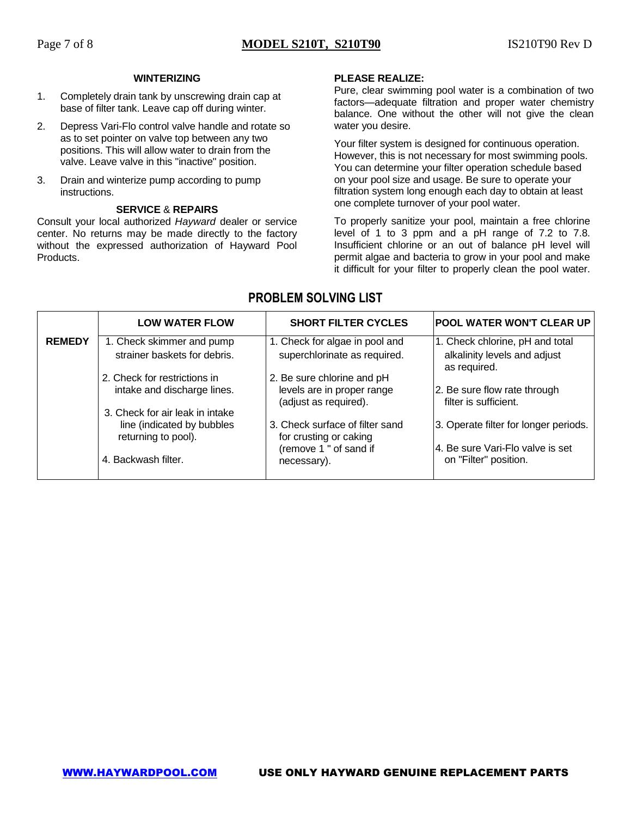#### **WINTERIZING**

- 1. Completely drain tank by unscrewing drain cap at base of filter tank. Leave cap off during winter.
- 2. Depress Vari-Flo control valve handle and rotate so as to set pointer on valve top between any two positions. This will allow water to drain from the valve. Leave valve in this "inactive" position.
- 3. Drain and winterize pump according to pump instructions.

#### **SERVICE** & **REPAIRS**

Consult your local authorized *Hayward* dealer or service center. No returns may be made directly to the factory without the expressed authorization of Hayward Pool Products.

### **PLEASE REALIZE:**

Pure, clear swimming pool water is a combination of two factors—adequate filtration and proper water chemistry balance. One without the other will not give the clean water you desire.

Your filter system is designed for continuous operation. However, this is not necessary for most swimming pools. You can determine your filter operation schedule based on your pool size and usage. Be sure to operate your filtration system long enough each day to obtain at least one complete turnover of your pool water.

To properly sanitize your pool, maintain a free chlorine level of 1 to 3 ppm and a pH range of 7.2 to 7.8. Insufficient chlorine or an out of balance pH level will permit algae and bacteria to grow in your pool and make it difficult for your filter to properly clean the pool water.

## **PROBLEM SOLVING LIST**

|               | <b>LOW WATER FLOW</b>                                                                | <b>SHORT FILTER CYCLES</b>                                                        | <b>POOL WATER WON'T CLEAR UP</b>                                                |
|---------------|--------------------------------------------------------------------------------------|-----------------------------------------------------------------------------------|---------------------------------------------------------------------------------|
| <b>REMEDY</b> | 1. Check skimmer and pump<br>strainer baskets for debris.                            | 1. Check for algae in pool and<br>superchlorinate as required.                    | 1. Check chlorine, pH and total<br>alkalinity levels and adjust<br>as required. |
|               | 2. Check for restrictions in<br>intake and discharge lines.                          | 2. Be sure chlorine and pH<br>levels are in proper range<br>(adjust as required). | 2. Be sure flow rate through<br>filter is sufficient.                           |
|               | 3. Check for air leak in intake<br>line (indicated by bubbles<br>returning to pool). | 3. Check surface of filter sand<br>for crusting or caking                         | 3. Operate filter for longer periods.                                           |
|               | 4. Backwash filter.                                                                  | (remove 1 " of sand if<br>necessary).                                             | 4. Be sure Vari-Flo valve is set<br>on "Filter" position.                       |